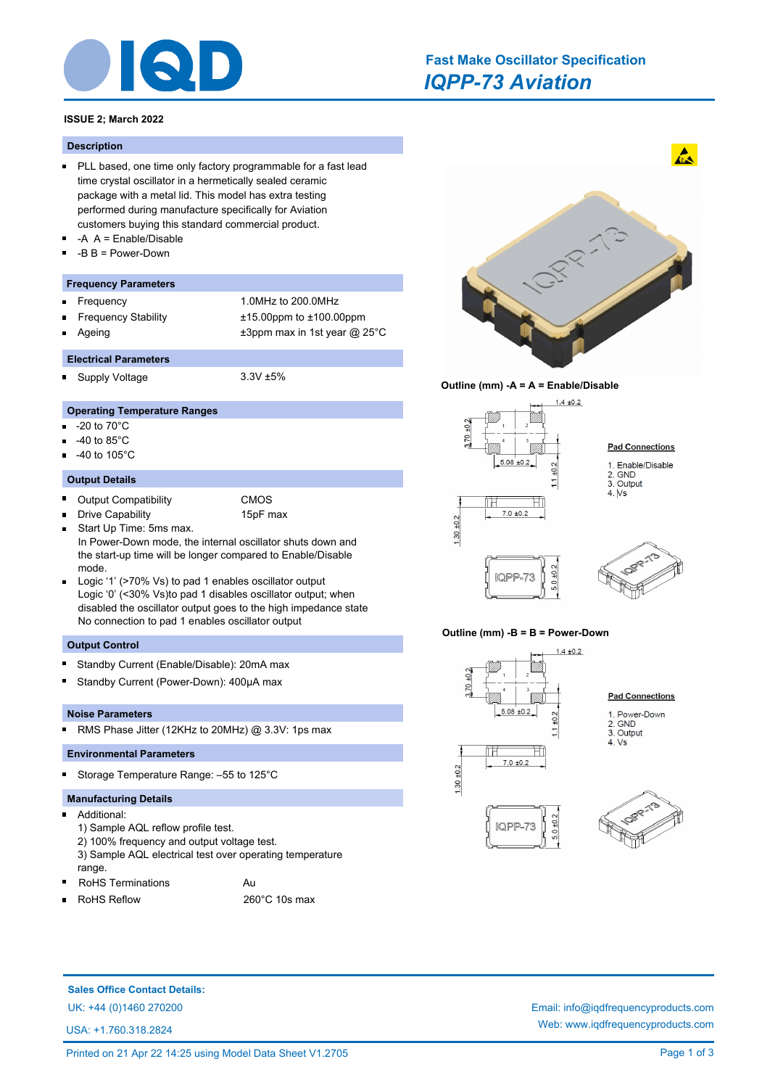

# *IQPP-73 Aviation* **Fast Make Oscillator Specification**

# **ISSUE 2; March 2022**

#### **Description**

- **PLL based, one time only factory programmable for a fast lead** time crystal oscillator in a hermetically sealed ceramic package with a metal lid. This model has extra testing performed during manufacture specifically for Aviation customers buying this standard commercial product.
- -A A = Enable/Disable
- -B B = Power-Down

### **Frequency Parameters**

- Frequency 1.0MHz to 200.0MHz  $\blacksquare$
- Frequency Stability ±15.00ppm to ±100.00ppm
- Ageing  $\pm 3$ ppm max in 1st year @ 25°C
	-
- **Electrical Parameters** Supply Voltage 3.3V ±5%

# **Operating Temperature Ranges**

- -20 to 70°C m.
- -40 to 85°C
- -40 to 105°C

#### **Output Details**

 $\blacksquare$ 

 $\blacksquare$ Output Compatibility CMOS

Drive Capability 15pF max

- Start Up Time: 5ms max.  $\blacksquare$ In Power-Down mode, the internal oscillator shuts down and the start-up time will be longer compared to Enable/Disable mode.
- Logic '1' (>70% Vs) to pad 1 enables oscillator output Logic '0' (<30% Vs)to pad 1 disables oscillator output; when disabled the oscillator output goes to the high impedance state No connection to pad 1 enables oscillator output

#### **Output Control**

- Standby Current (Enable/Disable): 20mA max
- Ē Standby Current (Power-Down): 400µA max

#### **Noise Parameters**

 $\blacksquare$ RMS Phase Jitter (12KHz to 20MHz) @ 3.3V: 1ps max

## **Environmental Parameters**

Storage Temperature Range: –55 to 125°C

#### **Manufacturing Details**

- $\blacksquare$ Additional:
	- 1) Sample AQL reflow profile test.
	- 2) 100% frequency and output voltage test.
	- 3) Sample AQL electrical test over operating temperature range.
- RoHS Terminations **Au** RoHS Reflow 260°C 10s max
- $\blacksquare$

**RATION** 

 $\mathbf{A}$ 





#### **Outline (mm) -B = B = Power-Down**





# **Sales Office Contact Details:**

USA: +1.760.318.2824

# UK: +44 (0)1460 270200 Email: info@iqdfrequencyproducts.com Web: www.iqdfrequencyproducts.com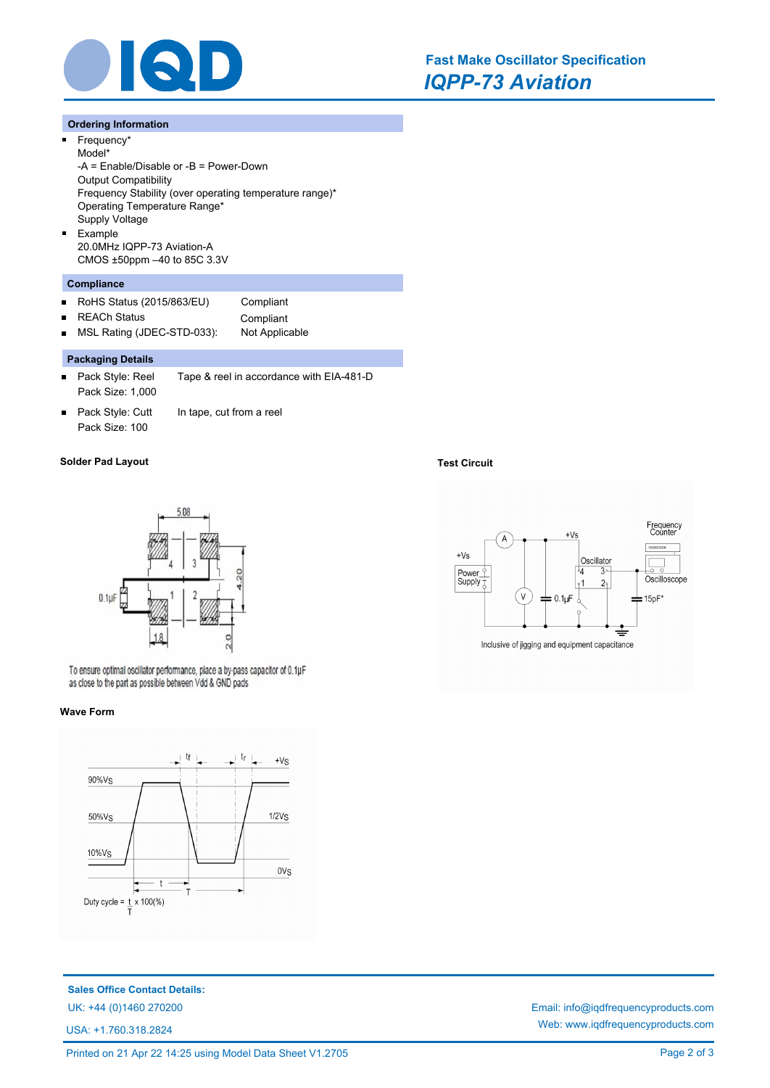

#### **Ordering Information**

 $\blacksquare$ 

 $\blacksquare$ 

Frequency\* Model\* -A = Enable/Disable or -B = Power-Down Output Compatibility Frequency Stability (over operating temperature range)\* Operating Temperature Range\* Supply Voltage Example 20.0MHz IQPP-73 Aviation-A CMOS ±50ppm –40 to 85C 3.3V

### **Compliance**

- RoHS Status (2015/863/EU) Compliant  $\blacksquare$
- $\blacksquare$

REACh Status **Compliant** 

MSL Rating (JDEC-STD-033): Not Applicable  $\blacksquare$ 

# **Packaging Details**

- $\blacksquare$ Pack Style: Reel Tape & reel in accordance with EIA-481-D Pack Size: 1,000
- Pack Style: Cutt In tape, cut from a reel  $\blacksquare$ Pack Size: 100

#### **Solder Pad Layout Test Circuit**



To ensure optimal oscillator performance, place a by-pass capacitor of 0.1µF as close to the part as possible between Vdd & GND pads

#### **Wave Form**



**Sales Office Contact Details:**

USA: +1.760.318.2824





UK: +44 (0)1460 270200 Email: info@iqdfrequencyproducts.com Web: www.iqdfrequencyproducts.com